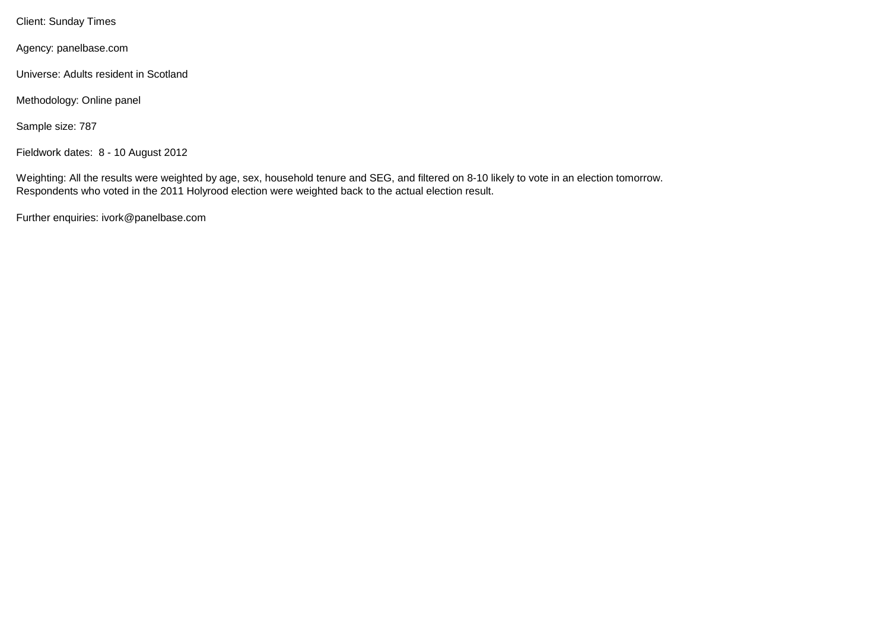Client: Sunday Times

Agency: panelbase.com

Universe: Adults resident in Scotland

Methodology: Online panel

Sample size: 787

Fieldwork dates: 8 - 10 August 2012

Weighting: All the results were weighted by age, sex, household tenure and SEG, and filtered on 8-10 likely to vote in an election tomorrow. Respondents who voted in the 2011 Holyrood election were weighted back to the actual election result.

Further enquiries: ivork@panelbase.com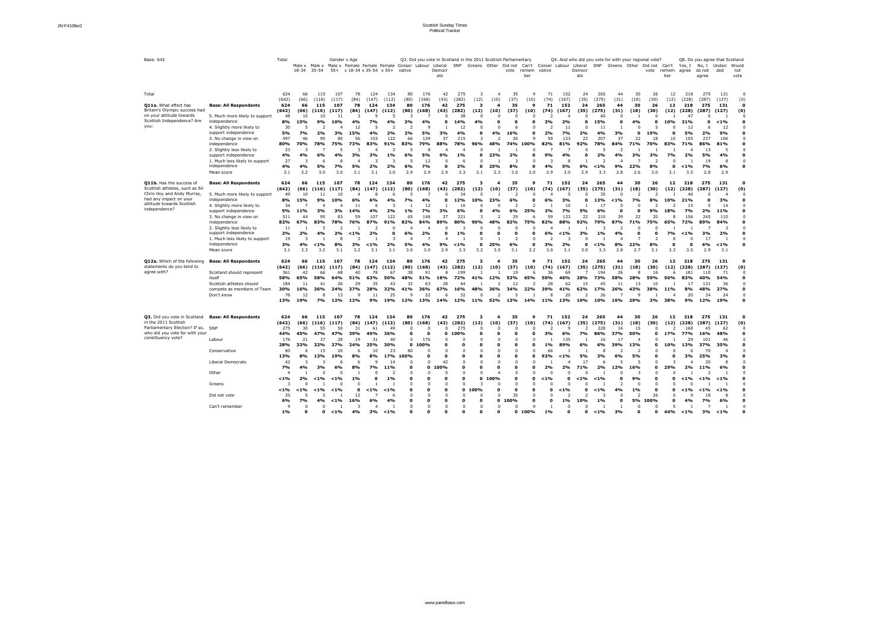| Base: 642                                                                                                                                                       |                                                                                                                                                                                                                                                                                                       | Total                                                                                                     | Male x<br>18-34                                                             | $35 - 54$                                                                                | Gender x Age<br>Male x Male x Female Female Female Conser Labour Liberal<br>$55+$                                        |                                                                                    | $x 18-34 x 35-54 x 55+$                                                                    |                                                                                                 | vative                                                               |                                                                                              | Democr<br>ats                                                                                                           | SNP                                                                                       |                                                                     |                                                                                                                      | Q3. Did you vote in Scotland in the 2011 Scottish Parliamentary<br>Greens Other Did not<br>vote | remem<br>ber                               | vative                                                                          | Can't Conser Labour Liberal                                                           | Democr<br>ats                                                          |                                                                                             | Q4. And who did you vote for with your regional vote?<br>SNP Greens Other Did not        |                                                                        | vote                                                                                          | Can't<br>remem<br>ber                                                             | Yes, I<br>agree                                                                              | No, I Undeci<br>do not<br>agree                                                                           | Q8. Do you agree that Scotland<br>ded                                                     | Would<br>not<br>vote |
|-----------------------------------------------------------------------------------------------------------------------------------------------------------------|-------------------------------------------------------------------------------------------------------------------------------------------------------------------------------------------------------------------------------------------------------------------------------------------------------|-----------------------------------------------------------------------------------------------------------|-----------------------------------------------------------------------------|------------------------------------------------------------------------------------------|--------------------------------------------------------------------------------------------------------------------------|------------------------------------------------------------------------------------|--------------------------------------------------------------------------------------------|-------------------------------------------------------------------------------------------------|----------------------------------------------------------------------|----------------------------------------------------------------------------------------------|-------------------------------------------------------------------------------------------------------------------------|-------------------------------------------------------------------------------------------|---------------------------------------------------------------------|----------------------------------------------------------------------------------------------------------------------|-------------------------------------------------------------------------------------------------|--------------------------------------------|---------------------------------------------------------------------------------|---------------------------------------------------------------------------------------|------------------------------------------------------------------------|---------------------------------------------------------------------------------------------|------------------------------------------------------------------------------------------|------------------------------------------------------------------------|-----------------------------------------------------------------------------------------------|-----------------------------------------------------------------------------------|----------------------------------------------------------------------------------------------|-----------------------------------------------------------------------------------------------------------|-------------------------------------------------------------------------------------------|----------------------|
| Total<br>Q11a. What effect has<br>Britain's Olympic success had<br>on your attitude towards<br>Scottish Independence? Are<br>you:                               | <b>Base: All Respondents</b><br>5. Much more likely to support<br>independence<br>4. Slightly more likely to<br>support independence<br>3. No change in view on<br>independence<br>2. Slightly less likely to<br>support independence<br>1. Much less likely to support<br>independence<br>Mean score | 624<br>(642)<br>624<br>(642)<br>48<br>8%<br>30<br>5%<br>497<br>80%<br>23<br>4%<br>27<br>4%<br>3.1         | 66<br>(66)<br>66<br>(66)<br>10<br>15%<br>7%<br>46<br>70%<br>4%<br>4%<br>3.2 | 115<br>(116)<br>115<br>(116)<br>10<br>9%<br>2<br>2%<br>90<br>78%<br>6%<br>6<br>5%<br>3.0 | 107<br>(117)<br>107<br>(117)<br>11<br>10%<br>3%<br>80<br>75%<br>4%<br>-8<br>7%<br>3.0                                    | 78<br>(84)<br>78<br>(84)<br>12<br>15%<br>56<br>73%<br>3%<br>5%<br>3.1              | 124<br>(147)<br>124<br>(147)<br><b>C</b><br>7%<br>4%<br>103<br>83%<br>3%<br>3<br>2%<br>3.1 | 134<br>(112)<br>134<br>(112)<br>4%<br>2%<br>122<br>91%<br>$1\%$<br>2%<br>3.0                    | 80<br>(80)<br>80<br>(80)<br>3%<br>2%<br>66<br>83%<br>6%<br>6%<br>2.9 | 176<br>(168)<br>176<br>(168)<br>4%<br>-9<br>5%<br>139<br>79%<br>5%<br>12<br><b>7%</b><br>2.9 | 42<br>(43)<br>42<br>(43)<br>$\Omega$<br>3%<br>37<br>88%<br>9%<br>$\Omega$<br>0<br>2.9                                   | 275<br>(282)<br>275<br>(282)<br>38<br>14%<br>12<br>4%<br>215<br>78%<br>$1\%$<br>2%<br>3.3 | (12)<br>-3<br>(12)<br>C<br>4%<br>96%<br>$\Omega$<br>0<br>3.1        | (10)<br>(10)<br>4%<br>23%<br>25%<br>2.3                                                                              | 35<br>(37)<br>35<br>(37)<br>16%<br>26<br>74%<br>2%<br>8%<br>3.0                                 | (10)<br>9<br>(10)<br>9<br>100%<br>0<br>3.0 | 71<br>(74)<br>71<br>(74)<br>2%<br>ົາ<br>2%<br>59<br>82%<br>9%<br>3<br>4%<br>2.9 | 152<br>(167)<br>152<br>(167)<br>2%<br>11<br>7%<br>123<br>81%<br>4%<br>5%<br>3.0       | 24<br>(35)<br>24<br>(35)<br>0<br>2%<br>22<br>92%<br>6%<br>2.9          | 265<br>(275)<br>265<br>(275)<br>40<br>15%<br>11<br>4%<br>207<br>78%<br>2%<br>$< 1\%$<br>3.3 | 44<br>(31)<br>44<br>(31)<br>3%<br>37<br>84%<br>4%<br>9%<br>2.8                           | 30<br>(18)<br>30<br>(18)<br>4%<br>0<br>22<br>71%<br>3%<br>22%<br>2.6   | 26<br>(30)<br>26<br>(30)<br>19%<br>18<br>70%<br>3%<br>-2<br>8%<br>3.0                         | 12<br>(12)<br>12<br>(12)<br>10%<br>10<br>83%<br><b>7%</b><br>$\Omega$<br>0<br>3.1 | 218<br>(228)<br>218<br>(228)<br>-47<br>21%<br>12<br>5%<br>155<br>71%<br>2%<br>$< 1\%$<br>3.5 | 275<br>(287)<br>275<br>(287)<br>2%<br>237<br>86%<br>13<br>5%<br>19<br><b>7%</b><br>2.8                    | 131<br>(127)<br>131<br>(127)<br>$< 1\%$<br>12<br>9%<br>106<br>81%<br>4%<br>8<br>6%<br>2.9 | (0)<br>(0)           |
| Q11b. Has the success of<br>Scottish athletes, such as Sir<br>Chris Hoy and Andy Murray<br>had any impact on your<br>attitude towards Scottish<br>independence? | <b>Base: All Respondents</b><br>5. Much more likely to support<br>independence<br>4. Slightly more likely to<br>support independence<br>3. No change in view on<br>independence<br>2. Slightly less likely to<br>support independence<br>1. Much less likely to support<br>independence<br>Mean score | 624<br>(642)<br>49<br>8%<br>34<br>5%<br>511<br>82%<br>11<br>2%<br>19<br>3%<br>3.1                         | 66<br>(66)<br>10<br>15%<br>11%<br>44<br>67%<br>2%<br>4%                     | 115<br>(116)<br>9%<br>3%<br>95<br>83%<br>5<br>4%<br>$< 1\%$<br>3.2                       | 107<br>(117)<br>10<br>10%<br>3%<br>83<br>78%<br>2%<br>-8<br>8%<br>3.1                                                    | 78<br>(84)<br>$\mathbf{1}$<br>14%<br>59<br>76%<br>$< 1\%$<br>3%<br>3.2             | 124<br>(147)<br>6%<br>6<br>107<br>87%<br>2%<br>$< 1\%$<br>3.1                              | 134<br>(112)<br>4%<br>2%<br>122<br>91%<br>0<br>2%<br>3.1                                        | 80<br>(80)<br>$1\%$<br>65<br>82%<br>6%<br>5%<br>3.0                  | 176<br>(168)<br>12<br>7%<br>148<br>84%<br>2%<br>4%<br>3.0                                    | 42<br>(43)<br>$\Omega$<br>3%<br>37<br>89%<br>-0<br>9%<br>2.9                                                            | 275<br>(282)<br>34<br>12%<br>16<br>6%<br>221<br>80%<br>$1\%$<br>$< 1\%$<br>3.3            | (12)<br>10%<br>3<br>90%<br>∩<br>3.2                                 | (10)<br>23%<br>4%<br>-2<br>25%<br>3.0                                                                                | 35<br>(37)<br>6%<br>6%<br>29<br>82%<br>6%<br>3.1                                                | (10)<br>25%<br>6<br>0<br>3.2               | 71<br>(74)<br>6%<br>2%<br>59<br>82%<br>6%<br>3%<br>3.0                          | 152<br>(167)<br>3%<br>10<br>7%<br>133<br>88%<br>$< 1\%$<br>2%<br>3.1                  | -24<br>(35)<br>5%<br>22<br>92%<br>3%<br>3.0                            | 265<br>(275)<br>35<br>.3%<br>17<br>6%<br>210<br>79%<br>$1\%$<br>$< 1\%$<br>3.3              | 44<br>(31)<br>$< 1\%$<br>0<br>39<br>87%<br>4%<br>8%<br>2.8                               | 30<br>(18)<br>ີ<br><b>7%</b><br>22<br><b>71%</b><br>22%<br>2.7         | 26<br>(30)<br>8%<br>9%<br>20<br>75%<br>8%<br>3.1                                              | 12<br>(12)<br>10%<br>18%<br>65%<br><b>7%</b><br>$\Omega$                          | 218<br>(228)<br>46<br>21%<br>15<br>7%<br>156<br>72%<br>$1\%$<br>3.5                          | 275<br>(287)<br>2%<br>245<br>89%<br>3%<br>17<br>6%<br>2.9                                                 | 131<br>(127)<br>3%<br>11%<br>110<br>84%<br>2%<br>$< 1\%$<br>3.1                           | (0)                  |
| Q12a. Which of the following<br>statements do you tend to<br>agree with?                                                                                        | <b>Base: All Respondents</b><br>Scotland should represent<br>itself<br>Scottish athletes should<br>compete as members of Team<br>Don't know                                                                                                                                                           | 624<br>(642)<br>361<br>58%<br>184<br>30%<br>78<br>13%                                                     | 66<br>(66)<br>42<br>65%<br>11<br>16%<br>12<br>19%                           | 115<br>(116)<br>66<br>58%<br>41<br>36%<br>8<br>7%                                        | 107<br>(117)<br>68<br>64%<br>26<br>24%<br>13<br>12%                                                                      | 78<br>(84)<br>40<br>51%<br>29<br>37%<br>12%                                        | 124<br>(147)<br>78<br>63%<br>35<br>28%<br>11<br>9%                                         | 134<br>(112)<br>67<br>50%<br>43<br>32%<br>25<br>19%                                             | 80<br>(80)<br>38<br>48%<br>32<br>41%<br>12%                          | 176<br>(168)<br>91<br>51%<br>63<br>36%<br>22<br>13%                                          | 42<br>(43)<br>-8<br>18%<br>28<br>67%<br>-6<br>14%                                                                       | 275<br>(282)<br>199<br>72%<br>44<br>16%<br>32<br>12%                                      | (12)<br>41%<br>48%<br>11%                                           | (10)<br>12%<br>36%<br>52%                                                                                            | 35<br>(37)<br>19<br>53%<br>34%<br>13%                                                           | (10)<br>6<br>65%<br>22%<br>14%             | 71<br>(74)<br>36<br>50%<br>28<br>39%<br>-8<br>11%                               | 152<br>(167)<br>69<br>46%<br>62<br>41%<br>20<br>13%                                   | 24<br>(35)<br>28%<br>15<br>62%<br>10%                                  | 265<br>(275)<br>194<br>73%<br>45<br>17%<br>26<br>10%                                        | 44<br>(31)<br>26<br>58%<br>11<br>26%<br>16%                                              | 30<br>(18)<br>28%<br>43%<br>29%                                        | 26<br>(30)<br>16<br>59%<br>10<br>38%<br>3%                                                    | 12<br>(12)<br><b>50%</b><br>11%<br>38%                                            | 218<br>(228)<br>181<br>83%<br>8%<br>20<br>9%                                                 | 275<br>(287)<br>110<br>40%<br>131<br>48%<br>34<br>12%                                                     | 131<br>(127)<br>71<br>54%<br>36<br>27%<br>24<br>19%                                       | 0<br>(0)             |
| Q3. Did you vote in Scotland<br>in the 2011 Scottish<br>Parliamentary Election? If so, SNP<br>who did you vote for with your<br>constituency vote?              | <b>Base: All Respondents</b><br>Labour<br>Conservative<br>Liberal Democrats<br>Other<br>Greens<br>Did not vote                                                                                                                                                                                        | 624<br>(642)<br>275<br>44%<br>176<br>28%<br>80<br>13%<br>42<br>7%<br>$< 1\%$<br>-3<br>$< 1\%$<br>35<br>6% | 66<br>(66)<br>30<br>45%<br>21<br>32%<br>8%<br>4%<br>2%<br>$< 1\%$<br>7%     | 115<br>(116)<br>55<br>47%<br>37<br>32%<br>15<br>13%<br>3%<br>$< 1\%$<br>$< 1\%$<br>4%    | 107<br>(117)<br>50<br>47%<br>28<br>27%<br>20<br>19%<br>-6<br>6%<br>$\Omega$<br>$< 1\%$<br>$\Omega$<br>$< 1\%$<br>$< 1\%$ | 78<br>(84)<br>31<br>39%<br>19<br>24%<br>8%<br>8%<br>$1\%$<br>$\Omega$<br>12<br>16% | 124<br>(147)<br>61<br>49%<br>31<br>25%<br>10<br>8%<br>9<br><b>7%</b><br>$< 1\%$<br>6%      | 134<br>(112)<br>49<br>36%<br>40<br>30%<br>23<br>17%<br>14<br>11%<br>$1\%$<br>$< 1\%$<br>6<br>4% | 80<br>(80)<br>$\mathbf{0}$<br>80<br>100%<br>$\mathbf{0}$<br>$\Omega$ | 176<br>(168)<br>- 0<br>176<br>0.100%<br>$\Omega$<br>$\mathbf{0}$<br>0                        | 42<br>(43)<br>$\Omega$<br>0<br>$\overline{0}$<br>$\Omega$<br>42<br>100%<br>$\overline{0}$<br>$\mathbf 0$<br>$\mathbf 0$ | 275<br>(282)<br>275<br>100%<br>O<br>n<br>$\Omega$<br>$\mathbf{0}$                         | 3<br>(12)<br>$\Omega$<br>0<br>0<br>$\Omega$<br>$\mathbf{0}$<br>100% | $\boldsymbol{A}$<br>(10)<br>$\Omega$<br>$\Omega$<br>$\Omega$<br>$\Omega$<br>$\Omega$<br>$\Omega$<br>100%<br>$\Omega$ | 35<br>(37)<br>0<br>$\mathbf 0$<br>$\mathbf{0}$<br>$\Omega$<br>35<br>0 100%                      | 9<br>(10)<br>0<br>0<br>O<br>0              | 71<br>(74)<br>3%<br>$1\%$<br>66<br>92%<br>2%<br>$< 1\%$<br>$\Omega$<br>$\Omega$ | 152<br>(167)<br>6%<br>135<br>89%<br>$< 1\%$<br>2%<br>$\mathbf{0}$<br>$< 1\%$<br>$1\%$ | 24<br>(35)<br>-2<br>7%<br>6%<br>5%<br>17<br>71%<br>$< 1\%$<br>0<br>10% | 265<br>(275)<br>228<br>86%<br>16<br>6%<br>3%<br>6<br>2%<br>$< 1\%$<br>$< 1\%$<br>$1\%$      | 44<br>(31)<br>16<br>37%<br>17<br>39%<br>6%<br>12%<br>0<br>4%<br>$\Omega$<br>$\mathbf{0}$ | 30<br>(18)<br>15<br><b>50%</b><br>13%<br>5%<br>16%<br>9%<br>$1\%$<br>ີ | 26<br>(30)<br>$\mathbf 0$<br>0<br>$\mathbf o$<br>$\mathbf o$<br>$\mathbf{o}$<br>26<br>5% 100% | 12<br>(12)<br>17%<br>10%<br>0<br>29%<br>0<br>0                                    | 218<br>(228)<br>168<br>77%<br>29<br>13%<br>3%<br>2%<br>$< 1\%$<br>$< 1\%$                    | 275<br>(287)<br>45<br>16%<br>101<br>37%<br>70<br>25%<br>30<br>11%<br>$<$ 1%<br>$< 1\%$<br>18<br><b>7%</b> | 131<br>(127)<br>62<br>48%<br>46<br>35%<br>3%<br>8<br>6%<br>$< 1\%$<br>$< 1\%$<br>8<br>6%  | $\mathbf 0$<br>(0)   |
|                                                                                                                                                                 | Can't remember                                                                                                                                                                                                                                                                                        | - 9<br>$1\%$                                                                                              |                                                                             | $\Omega$                                                                                 | $< 1\%$                                                                                                                  | 4%                                                                                 | 3%                                                                                         | $< 1\%$                                                                                         |                                                                      |                                                                                              |                                                                                                                         |                                                                                           |                                                                     |                                                                                                                      | 0                                                                                               | 100%                                       | $1\%$                                                                           |                                                                                       |                                                                        | $< 1\%$                                                                                     | 3%                                                                                       |                                                                        |                                                                                               | 44%                                                                               | $< 1\%$                                                                                      | 3%                                                                                                        | $< 1\%$                                                                                   |                      |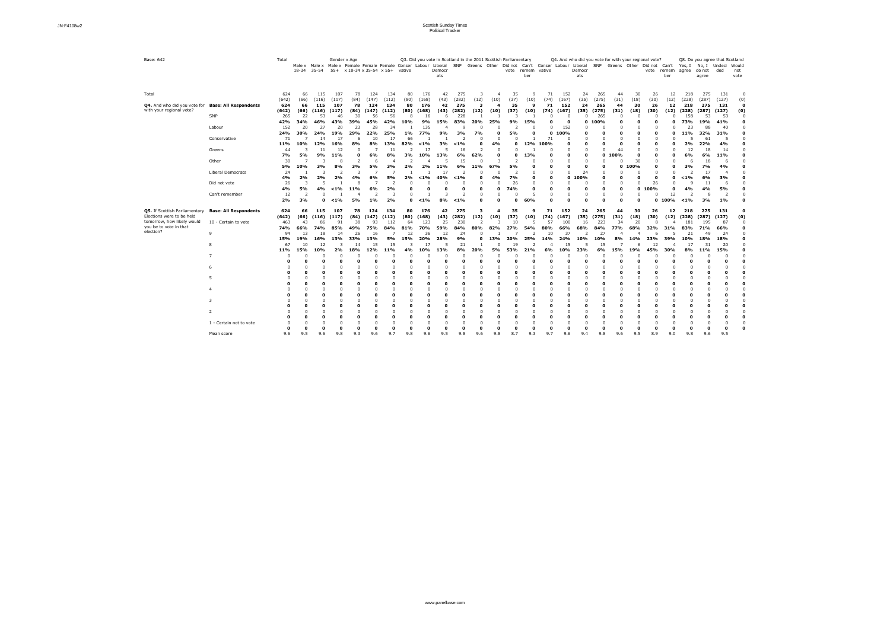| Base: 642                                                                                |                                      | Total            | Male x<br>18-34      | $35 - 54$       | Gender x Age<br>Male x Male x Female Female Female Conser Labour Liberal |                    | $55+ x 18-34 x 35-54 x 55+$ |                       | vative          |                  | Democr<br>ats      | SNP              |                   |                         | Q3. Did you vote in Scotland in the 2011 Scottish Parliamentary<br>Greens Other Did not<br>vote | remem vative<br>ber |                          | Can't Conser Labour Liberal | Democr<br>ats |                  |                          |             | Q4. And who did you vote for with your regional vote?<br>SNP Greens Other Did not Can't<br>vote | remem<br>ber | Yes, I<br>agree  | No, I<br>do not<br>agree | Q8. Do you agree that Scotland<br>Undeci<br>ded | Would<br>not<br>vote |
|------------------------------------------------------------------------------------------|--------------------------------------|------------------|----------------------|-----------------|--------------------------------------------------------------------------|--------------------|-----------------------------|-----------------------|-----------------|------------------|--------------------|------------------|-------------------|-------------------------|-------------------------------------------------------------------------------------------------|---------------------|--------------------------|-----------------------------|---------------|------------------|--------------------------|-------------|-------------------------------------------------------------------------------------------------|--------------|------------------|--------------------------|-------------------------------------------------|----------------------|
| Total                                                                                    |                                      | 624<br>(642)     | 66<br>(66)           | 115<br>(116)    | 107<br>(117)                                                             | 78                 | 124<br>(147)                | 134                   | 80<br>(80)      | 176<br>(168)     | 42                 | 275<br>(282)     |                   |                         | 35<br>(37)                                                                                      |                     | 71<br>(74)               | 152                         | 24<br>(35)    | 265<br>(275)     | 44<br>(31)               | 30<br>(18)  | 26                                                                                              | 12<br>(12)   | 218<br>(228)     | 275<br>(287)             | 131<br>(127)                                    |                      |
| Q4. And who did you vote for<br>with your regional vote?                                 | <b>Base: All Respondents</b>         | 624<br>(642)     | 66<br>(66)           | 115<br>(116)    | 107<br>(117)                                                             | (84)<br>78<br>(84) | 124<br>(147)                | (112)<br>134<br>(112) | 80<br>(80)      | 176<br>(168)     | (43)<br>42<br>(43) | 275<br>(282)     | (12)<br>3<br>(12) | (10)<br>(10)            | 35<br>(37)                                                                                      | (10)<br>٩<br>(10)   | 71<br>(74)               | (167)<br>152<br>(167)       | 24<br>(35)    | 265<br>(275)     | 44<br>(31)               | 30<br>(18)  | (30)<br>26<br>(30)                                                                              | 12<br>(12)   | 218<br>(228)     | 275<br>(287)             | 131<br>(127)                                    | (0)<br>0<br>(0)      |
|                                                                                          | SNP                                  | 265<br>42%       | 22<br>34%            | 53<br>16%       | 46<br>43%                                                                | 30<br>39%          | 56<br>45%                   | 56<br>2%              | 10%             | 16<br>9%         | 6<br>15%           | 228<br>83%       | 20%               | 25%                     | 9%                                                                                              | 15%                 |                          | - 0<br>0                    | 0<br>0        | 265<br>100%      |                          |             | -0                                                                                              |              | 158<br>73%       | 53<br>19%                | 53<br>41%                                       |                      |
|                                                                                          | Labour                               | 152<br>24%       | 20<br>30%            | 27<br>24%       | 20<br>19%                                                                | 23<br>29%          | 28<br>22%                   | 34<br>25%             | $1\%$           | 135<br>77%       | 9%                 | - q<br>3%        | 7%                | 0                       | 5%                                                                                              | 0                   | $\Omega$                 | 152<br>100%                 |               | n                | 0                        | 0<br>0      | -0<br>$\mathbf 0$                                                                               | O            | 23<br>11%        | 88<br>32%                | 40<br>31%                                       |                      |
|                                                                                          | Conservative                         | 71<br>11%        | <b>10%</b>           | 14<br>12%       | 17<br>16%                                                                | -6<br>8%           | 10<br>8%                    | 17<br>13%             | 66<br>82%       | $< 1\%$          | 3%                 | -2<br>$< 1\%$    |                   | 4%                      | 0                                                                                               | 12%                 | 71<br>100%               |                             |               |                  | 0                        |             | -0                                                                                              |              | Þ<br>2%          | 61<br>22%                | 4%                                              |                      |
|                                                                                          | Greens<br>Other                      | 44<br><b>7%</b>  | 5%                   | 11<br>9%        | 12<br>11%                                                                |                    | 6%                          | 11<br>8%              | 3%              | 10%              | 13%                | 16<br>6%         | 62%               | 0                       | 0                                                                                               | 13%                 |                          |                             |               | $\Omega$         | 44<br>0 100%             | 30          | $\overline{0}$<br>$\Omega$                                                                      |              | 12<br>6%         | 18<br>6%                 | 14<br>11%                                       |                      |
|                                                                                          | Liberal Democrats                    | 30<br>5%<br>24   | <b>10%</b>           | 3%<br>3         | 8<br>8%<br>2                                                             | 3%<br>-3           | 6<br>5%                     | 3%                    | 2%              | 2%               | 11%<br>17          | 15<br>6%         | 11%               | 67%                     | 5%<br>ີ                                                                                         |                     | $\mathbf{0}$<br>$\Omega$ | 0<br>$\Omega$               | 24            | n                | O                        | 100%        | - 0                                                                                             |              | b<br>3%          | 18<br>7%<br>17           | 4%                                              |                      |
|                                                                                          | Did not vote                         | 4%<br>26         | 2%<br>3              | 2%              | 2%                                                                       | 4%                 | 6%                          | 5%                    | 2%              | $< 1\%$<br>0     | 40%                | $< 1\%$          |                   | 4%                      | 7%<br>26                                                                                        |                     | $\mathbf 0$              | 0                           | 100%          |                  | 0<br>0                   | $\mathbf 0$ | 0<br>26                                                                                         | O            | $< 1\%$<br>-9    | 6%<br>11                 | 3%                                              |                      |
|                                                                                          | Can't remember                       | 4%<br>12         | 5%<br>$\overline{2}$ | 4%              | $< 1\%$                                                                  | 11%                | 6%<br>ົາ                    | 2%                    | 0               |                  | $\mathbf 0$        | 0<br>-           | 0                 | $\mathbf 0$<br>$\Omega$ | '4%                                                                                             |                     | $\mathbf 0$              | 0<br>0                      |               | n<br>$\Omega$    | $\mathbf{o}$<br>$\Omega$ | 0<br>0      | 100%                                                                                            | 0<br>12      | 4%               | 4%<br>-8                 | 5%<br>$\overline{2}$                            |                      |
|                                                                                          |                                      | 2%               | 3%                   | 0               | $< 1\%$                                                                  | 5%                 | 1%                          | 2%                    | $\mathbf{0}$    | $< 1\%$          | 8%                 | < 1%             | 0                 | $\Omega$                | 0                                                                                               | 60%                 | $\mathbf 0$              | 0                           | Ω             | $\Omega$         | 0                        |             |                                                                                                 | 100%         | $< 1\%$          | 3%                       | 1%                                              |                      |
| Q5. If Scottish Parliamentary<br>Elections were to be held<br>tomorrow, how likely would | <b>Base: All Respondents</b>         | 624<br>(642)     | 66<br>(66)           | 115<br>(116)    | 107<br>(117)                                                             | 78<br>(84)         | 124<br>(147)                | 134<br>(112)          | 80<br>(80)      | 176<br>(168)     | 42<br>(43)         | 275<br>(282)     | (12)              | 4<br>(10)               | 35<br>(37)                                                                                      | 9<br>(10)           | 71<br>(74)               | 152<br>(167)                | 24<br>(35)    | 265<br>(275)     | 44<br>(31)               | 30<br>(18)  | 26<br>(30)                                                                                      | 12<br>(12)   | 218<br>(228)     | 275<br>(287)             | 131<br>(127)                                    | (0)                  |
| you be to vote in that<br>election?                                                      | 10 - Certain to vote<br><sub>q</sub> | 463<br>74%<br>94 | 43<br>66%<br>13      | 86<br>74%<br>18 | 91<br>85%<br>14                                                          | 38<br>49%<br>26    | 93<br>75%<br>16             | 112<br>84%            | 64<br>81%<br>12 | 123<br>70%<br>36 | 25<br>59%<br>12    | 230<br>84%<br>24 | 80%               | 82%                     | 10<br>27%                                                                                       | 54%                 | 57<br>80%<br>10          | 100<br>66%<br>37            | -16<br>68%    | 223<br>84%<br>27 | 34<br><b>77%</b>         | 20<br>68%   | -8<br>32%                                                                                       | 31%          | 181<br>83%<br>21 | 195<br>71%<br>49         | 87<br>66%<br>24                                 |                      |
|                                                                                          |                                      | 15%<br>67        | 19%<br>10            | 16%<br>12       | 13%                                                                      | 33%<br>14          | 13%<br>15                   | 5%<br>15              | 15%             | 20%              | 28%                | 9%<br>21         | O                 | 13%                     | 20%<br>19                                                                                       | 25%                 | 14%                      | 24%<br>15                   | 10%<br>-5     | 10%<br>15        | 8%                       | 14%<br>b    | 23%<br>12                                                                                       | 39%          | 10%<br>17        | 18%<br>31                | 18%<br>20                                       |                      |
|                                                                                          |                                      | 11%              | 15%                  | 10%             | 70 <sub>6</sub>                                                          | 18%                | 120 <sub>o</sub>            | 11%                   | 4%              | 10%              | 13%                | 90 <sub>6</sub>  | 20%               | 5%                      | 53%                                                                                             | 210 <sub>o</sub>    | 6%                       | 10%                         | つつのん          | 6%               | 15%                      | 19%         | 45%                                                                                             | <b>300Y</b>  | $R^{0}/2$        | 11%                      | 15%                                             |                      |
|                                                                                          |                                      |                  |                      |                 |                                                                          |                    |                             |                       |                 |                  |                    |                  |                   |                         |                                                                                                 |                     |                          |                             |               |                  |                          |             |                                                                                                 |              |                  |                          |                                                 |                      |
|                                                                                          |                                      |                  |                      |                 |                                                                          |                    |                             |                       |                 |                  |                    |                  |                   |                         |                                                                                                 |                     |                          |                             |               |                  |                          |             |                                                                                                 |              |                  |                          |                                                 |                      |
|                                                                                          |                                      |                  |                      |                 |                                                                          |                    |                             |                       |                 |                  | $\mathbf 0$        |                  |                   | 0<br>0                  |                                                                                                 |                     |                          | O                           |               |                  |                          |             |                                                                                                 | O            |                  |                          |                                                 |                      |
|                                                                                          |                                      |                  |                      |                 |                                                                          |                    |                             | 0                     |                 |                  | 0                  | 0                | 0                 | 0                       |                                                                                                 |                     |                          |                             |               |                  |                          |             | 0                                                                                               | O            |                  |                          |                                                 |                      |
|                                                                                          | $\mathcal{L}$                        |                  |                      |                 |                                                                          |                    |                             |                       |                 |                  | $\Omega$           |                  |                   |                         |                                                                                                 |                     |                          |                             |               |                  |                          |             |                                                                                                 |              |                  |                          |                                                 |                      |
|                                                                                          | 1 - Certain not to vote              |                  |                      |                 |                                                                          |                    |                             |                       |                 |                  |                    |                  |                   |                         |                                                                                                 |                     |                          |                             |               |                  |                          |             |                                                                                                 |              |                  |                          |                                                 |                      |
|                                                                                          | Mean score                           | 9.6              | 9.5                  | 9.6             | 9.8                                                                      | 9.3                | 9.6                         | 9.7                   | 9.8             | 9.6              | 9.5                | 9.8              | 9.6               | 9.8                     | 8.7                                                                                             | 9.3                 | 9.7                      | 9.6                         | 9.4           | 9.8              | 9.6                      | 9.5         | 8.9                                                                                             | 9.0          | 9.8              | 9.6                      | 9.5                                             |                      |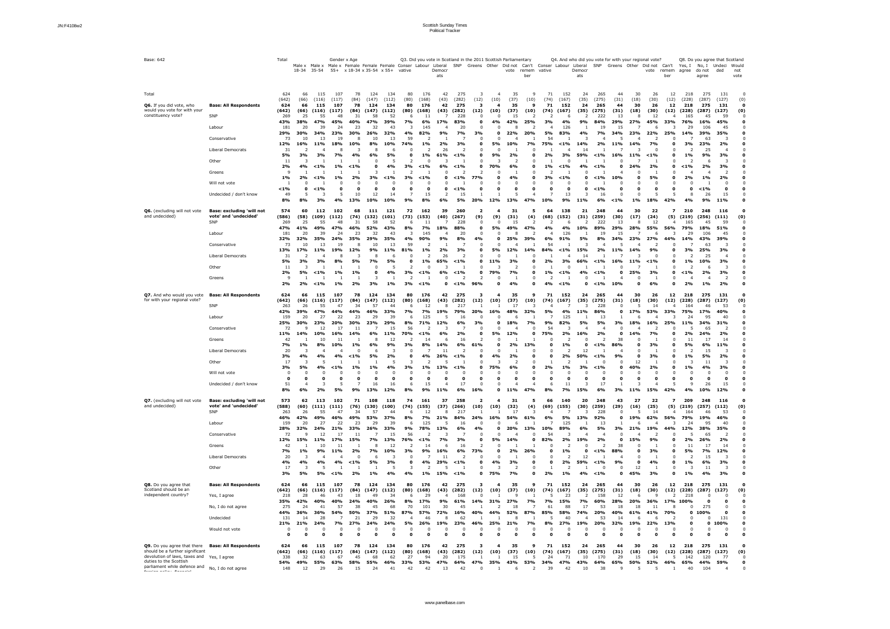| Base: 642                                                                                                                                                                                                                                                                                                                                                                                      | Total                                                                                                                                       | 18-34                                                                                    | Male x Male x<br>$35 - 54$                                                                                        | Gender x Age                                                                                      |                                                                                         | Male x Female Female Female Conser Labour<br>$55+ x 18-34 x 35-54 x 55+$                              |                                                                                                         | vative                                                                         |                                                                                                           | Liberal<br>Democr<br>ats                                                                                                 | Q3. Did you vote in Scotland in the 2011 Scottish Parliamentary<br>SNP                                                      | Greens Other                                                                |                                                     | Did not<br>vote                                                                            | Can't<br>remem<br>ber                                | Conser Labour<br>vative                                         |                                                                                                 | Liberal<br>Democr<br>ats                                                                                      |                                                                                                                      | Q4. And who did you vote for with your regional vote?<br>SNP Greens Other |                                                                                                                      | Did not<br>vote                                                                            | Can't<br>remem<br>ber                                             | Yes, I<br>agree                                                                          | No, I<br>do not<br>agree                                                                                               | Q8. Do you agree that Scotland<br>Undeci<br>ded                                                            | Would<br>not<br>vote      |
|------------------------------------------------------------------------------------------------------------------------------------------------------------------------------------------------------------------------------------------------------------------------------------------------------------------------------------------------------------------------------------------------|---------------------------------------------------------------------------------------------------------------------------------------------|------------------------------------------------------------------------------------------|-------------------------------------------------------------------------------------------------------------------|---------------------------------------------------------------------------------------------------|-----------------------------------------------------------------------------------------|-------------------------------------------------------------------------------------------------------|---------------------------------------------------------------------------------------------------------|--------------------------------------------------------------------------------|-----------------------------------------------------------------------------------------------------------|--------------------------------------------------------------------------------------------------------------------------|-----------------------------------------------------------------------------------------------------------------------------|-----------------------------------------------------------------------------|-----------------------------------------------------|--------------------------------------------------------------------------------------------|------------------------------------------------------|-----------------------------------------------------------------|-------------------------------------------------------------------------------------------------|---------------------------------------------------------------------------------------------------------------|----------------------------------------------------------------------------------------------------------------------|---------------------------------------------------------------------------|----------------------------------------------------------------------------------------------------------------------|--------------------------------------------------------------------------------------------|-------------------------------------------------------------------|------------------------------------------------------------------------------------------|------------------------------------------------------------------------------------------------------------------------|------------------------------------------------------------------------------------------------------------|---------------------------|
| Total<br>Q6. If you did vote, who<br><b>Base: All Respondents</b><br>would you vote for with your<br>constituency vote?<br>SNP<br>Labour<br>Conservative<br><b>Liberal Democrats</b><br>Other<br>Greens<br>Will not vote<br>Undecided / don't know                                                                                                                                             | 624<br>(642)<br>624<br>(642)<br>269<br>43%<br>181<br>29%<br>73<br>12%<br>31<br><b>5%</b><br>11<br>2%<br>- 9<br>$1\%$<br>$< 1\%$<br>49<br>8% | 66<br>(66)<br>66<br>(66)<br>25<br>38%<br>-20<br>30%<br>10<br>16%<br>3%<br>4%<br>2%<br>8% | 115<br>(116)<br>115<br>(116)<br>55<br>0⁄ס/<br>39<br>13<br><b>11%</b><br>3%<br>$< 1\%$<br>$< 1\%$<br>$< 1\%$<br>3% | 107<br>(117)<br>107<br>(117)<br>48<br>45%<br>24<br>23%<br>19<br>18%<br>7%<br>$1\%$<br>$1\%$<br>.5 | 78<br>(84)<br>78<br>(84)<br>-31<br>23<br>30%<br>10%<br>4%<br>$< 1\%$<br>2%<br>10<br>13% | 124<br>(147)<br>124<br>(147)<br>58<br>47%<br>32<br>26%<br>10<br>8%<br>8<br>6%<br>3<br>3%<br>12<br>10% | 134<br>(112)<br>134<br>(112)<br>52<br>39%<br>43<br>32%<br>13<br>10%<br>5%<br>4%<br>$< 1\%$<br>14<br>10% | 80<br>(80)<br>80<br>(80)<br>6<br>7%<br>-3<br>4%<br>59<br>74%<br>3%<br>3%<br>9% | 176<br>(168)<br>176<br>(168)<br>11<br>6%<br>145<br>82%<br>$1\%$<br>L% l<br>$< 1\%$<br>$< 1\%$<br>15<br>8% | 42<br>(43)<br>42<br>(43)<br>17%<br>9%<br>2%<br>26<br>L %<br>-61<br>6%<br>0<br>0<br>$\Omega$<br>0<br>$\overline{2}$<br>6% | 275<br>(282)<br>275<br>(282)<br>228<br>83%<br>20<br><b>7%</b><br>3%<br>$< 1\%$<br>$< 1\%$<br>$< 1\%$<br>$< 1\%$<br>15<br>5% | (12)<br>-3<br>(12)<br>$\Omega$<br>0<br>3%<br>0<br>0<br>0<br>77%<br>0<br>20% | (10)<br>(10)<br>4%<br><b>5%</b><br>9%<br>70%<br>12% | 35<br>(37)<br>35<br>(37)<br>15<br>42%<br>10%<br>2%<br>-2<br>6%<br>4%<br>$\mathbf 0$<br>13% | - q<br>(10)<br>۰q<br>(10)<br>25%<br>20%<br>7%<br>47% | -71<br>(74)<br>71<br>(74)<br>5%<br>54<br>75%<br>1%<br>3%<br>10% | 152<br>(167)<br>152<br>(167)<br>6<br>126<br>83%<br>$1\%$<br>3%<br>$<$ 1%<br>$< 1\%$<br>13<br>9% | 24<br>(35)<br>24<br>(35)<br>9%<br>4%<br><b>14%</b><br>14<br>59%<br>4%<br>$\mathbf{o}$<br>$\Omega$<br>्र<br>1% | 265<br>(275)<br>265<br>(275)<br>222<br>84%<br>19<br>7%<br>2%<br>$< 1\%$<br>$< 1\%$<br>$< 1\%$<br>$< 1\%$<br>16<br>6% | 44<br>(31)<br>44<br>(31)<br>13<br>29%<br>34%<br>11%<br>16%<br>O<br>10%    | 30<br>(18)<br>30<br>(18)<br>8<br>27%<br>23%<br>14%<br><b>11%</b><br>24%<br>0<br>0<br>$\Omega$<br>0<br>$\Omega$<br>L% | 26<br>(30)<br>26<br>(30)<br>12<br>45%<br>b<br>22%<br>7%<br>$<$ 1%<br>2%<br>5%<br>-0<br>18% | 12<br>(12)<br>12<br>(12)<br>33%<br>25%<br>O<br>O<br>0<br>0<br>42% | 218<br>(228)<br>218<br>(228)<br>165<br>29<br>14%<br>3%<br><b>1%</b><br>$1\%$<br>2%<br>4% | 275<br>(287)<br>275<br>(287)<br>45<br>16%<br>106<br>39%<br>63<br>23%<br>25<br>9%<br>2%<br>$1\%$<br>$< 1\%$<br>26<br>9% | 131<br>(127)<br>131<br>(127)<br>59<br>45%<br>45<br>35%<br>2%<br>4<br>3%<br>3<br>3%<br>ി<br>2%<br>15<br>11% | (0)<br>$\mathbf 0$<br>(0) |
| Q6. (excluding will not vote<br><b>Base: excluding 'will not</b><br>and undecided)<br>vote' and 'undecided'<br>SNP<br>Labour<br>Conservative<br>Liberal Democrats<br>Other<br>Greens                                                                                                                                                                                                           | 574<br>(586)<br>269<br>47%<br>181<br>32%<br>73<br>13%<br>31<br><b>5%</b><br>11<br>2%<br>9<br>2%                                             | 60<br>(58)<br>25<br>41%<br>20<br>32%<br><b>17%</b><br>3%<br><b>5%</b><br>2%              | 112<br>(109)<br>55<br>49%<br>39<br>35%<br>13<br>110 <sub>o</sub><br>3%<br>$< 1\%$<br>$< 1\%$                      | 102<br>(112)<br>48<br>47%<br>24<br>24%<br>19<br>10%<br>8%<br>1%<br>$1\%$                          | 68<br>(74)<br>-31<br>46%<br>23<br>35%<br>12%<br>1%<br>2%                                | 111<br>(132)<br>58<br>52%<br>32<br>29%<br>10<br>$Q_0$<br><b>7%</b><br>3%                              | 121<br>(101)<br>52<br>43%<br>43<br>35%<br>13<br>110 <sub>o</sub><br>5%<br>4%<br>1%                      | 72<br>(73)<br>-6<br>8%<br>4%<br>59<br>R10/2<br>3%<br>3%                        | 162<br>(153)<br><b>7%</b><br>145<br>90%<br>10L<br>$1\%$<br>$< 1\%$                                        | 39<br>(40)<br>18%<br>9%<br>2%<br>26<br>65%<br>6%<br>0<br>0                                                               | 260<br>(267)<br>228<br>88%<br>20<br>8%<br>3%<br>$< 1\%$<br>$< 1\%$<br>$< 1\%$                                               | (9)<br>$\Omega$<br>0<br>0<br>4%<br>∩<br>0<br>0<br>96%                       | (9)<br><b>5%</b><br>0<br>50%<br>11%<br>79%<br>Ω     | 31<br>(31)<br>15<br>49%<br>25%<br>120 <sub>6</sub><br>3%<br>7%<br>4%                       | -5<br>(4)<br>- 2<br>47%<br>39%<br>140 <sub>o</sub>   | 64<br>(68)<br>6%<br>54<br>84%<br>2%<br>L% l                     | 138<br>(152)<br>6<br>126<br>91%<br>< 10/2<br>3%<br>$< 1\%$<br>$< 1\%$                           | 21<br>(31)<br>10%<br>5%<br>-3<br>150 <sub>o</sub><br>14<br>66%<br>4%<br>$\mathbf 0$                           | 248<br>(259)<br>222<br>89%<br>19<br>8%<br>$\overline{\phantom{a}}$<br>2%<br>$< 1\%$<br>$< 1\%$<br>$< 1\%$            | 44<br>(30)<br>29%<br>34%<br>11%<br>16%<br>10%                             | 30<br>(17)<br>8<br>28%<br>23%<br>140 <sub>o</sub><br><b>11%</b><br>25%<br>0<br>0                                     | 22<br>(24)<br>12<br>55%<br>27%<br>$Q_0$<br>- ೧<br>$< 1\%$<br>3%<br>6%                      | (5)<br>56%<br>44%<br>∩<br>O                                       | 210<br>(219)<br>165<br>79%<br>29<br>14%<br>20/2<br>1%<br>$1\%$<br>2%                     | 248<br>(256)<br>45<br>18%<br>106<br>43%<br>63<br>250%<br>25<br>10%<br>2%<br>$1\%$                                      | 116<br>(111)<br>59<br>51%<br>45<br>39%<br>3%<br>3%<br>3%<br>2%                                             | 0<br>(0)                  |
| Q7. And who would you vote<br><b>Base: All Respondents</b><br>for with your regional vote?<br>SNP<br>Labour<br>Conservative<br>Greens<br>Liberal Democrats<br>Other<br>Will not vote<br>Undecided / don't know                                                                                                                                                                                 | 624<br>(642)<br>263<br>42%<br>159<br>25%<br>72<br><b>11%</b><br>42<br><b>7%</b><br>20<br>3%<br>17<br>3%<br>0<br>0<br>51<br>8%               | 66<br>(66)<br>26<br>39%<br>20<br>30%<br>14%<br>$1\%$<br>4%<br>5%<br>6%                   | 115<br>(116)<br>55<br>47%<br>27<br>23%<br>12<br>10%<br>10<br>8%<br>4%<br>2%                                       | 107<br>(117)<br>47<br>44%<br>22<br>20%<br>17<br>16%<br>11<br>10%<br>4%<br>$< 1\%$<br>5%           | 78<br>(84)<br>-34<br>23<br>30%<br>11<br>14%<br>1%<br>$< 1\%$<br>1%<br>9%                | 124<br>(147)<br>57<br>46%<br>29<br>23%<br>6%<br>8<br>6%<br>6<br><b>5%</b><br>1%<br>16<br>13%          | 134<br>(112)<br>44<br>33%<br>39<br>29%<br>15<br>11%<br>12<br>9%<br>2%<br>4%<br>0<br>16<br>12%           | 80<br>(80)<br>6<br>7%<br>8%<br>56<br>70%<br>3%<br>3%<br>-6<br>8%               | 176<br>(168)<br>12<br>125<br>71%<br>$< 1\%$<br>8%<br>4%<br>1%<br>15<br>9%                                 | 42<br>(43)<br>8<br>19%<br>-5<br>12%<br>6%<br><sub>t</sub><br>14%<br>26%<br>13%<br>11%                                    | 275<br>(282)<br>217<br>79%<br>16<br>6%<br>2%<br>16<br>6%<br>$< 1\%$<br>$< 1\%$<br>17<br>6%                                  | (12)<br>20%<br>3%<br>61%<br>0<br>16%                                        | (10)<br>16%<br><b>5%</b><br>4%<br>75%<br>0          | 35<br>(37)<br>48%<br>18%<br>12%<br>2%<br>2%<br>6%<br>$\mathbf 0$                           | q<br>(10)<br>32%<br>$\mathbf o$<br>13%<br>47%        | 71<br>(74)<br>9%<br>54<br>75%<br>2%<br>8%                       | 152<br>(167)<br>125<br>82%<br>2%<br>1%<br>2%<br>$1\%$<br>7%                                     | 24<br>(35)<br>3<br>11%<br>5%<br>16%<br>12<br><b>50%</b><br>3%<br>5%                                           | 265<br>(275)<br>228<br>86%<br>13<br>5%<br>2%<br>$< 1\%$<br>$< 1\%$<br>$< 1\%$<br>17<br>6%                            | 44<br>(31)<br>0<br>3%<br>O<br>38<br>86%<br>9%<br>0<br>3%                  | 30<br>(18)<br>17%<br>6<br>18%<br>14%<br>0<br>12<br>40%<br>0<br>L%                                                    | 26<br>(30)<br>14<br>53%<br>16%<br><b>7%</b><br>3%<br>3%<br>2%<br>15%                       | 12<br>(12)<br>33%<br>25%<br>42%                                   | 218<br>(228)<br>164<br>75%<br>24<br>11%<br>2%<br>11<br>5%<br>$1\%$<br>$1\%$<br>4%        | 275<br>(287)<br>46<br>17%<br>95<br>34%<br>65<br>24%<br>17<br>6%<br>15<br><b>5%</b><br>4%<br>0<br>26                    | 131<br>(127)<br>53<br>40%<br>40<br>31%<br>2%<br>14<br>11%<br>2%<br>3%<br>15<br>12%                         | (0)                       |
| Q7. (excluding will not vote<br><b>Base: excluding 'will not</b><br>and undecided)<br>vote' and 'undecided'<br><b>SNP</b><br>Labour<br>Conservative<br>Greens<br>Liberal Democrats<br>Other                                                                                                                                                                                                    | 573<br>(588)<br>263<br>46%<br>159<br>28%<br>72<br>12%<br>42<br>7%<br>20<br>4%<br>17<br>3%                                                   | 62<br>(60)<br>26<br>42%<br>20<br>32%<br>15%<br>1%<br>4%<br>5%                            | 113<br>(111)<br>55<br>49%<br>27<br>24%<br>12<br><b>11%</b><br>10<br>9%<br>4%<br><b>5%</b>                         | 102<br>(111)<br>47<br>46%<br>22<br>21%<br>17<br>17%<br>11<br>11%<br>4%<br>$< 1\%$                 | 71<br>(76)<br>-34<br>49%<br>23<br>33%<br>15%<br>2%<br>$< 1\%$<br>2%                     | 108<br>(130)<br>57<br>53%<br>29<br>26%<br>7%<br>8<br>$7\%$<br>6<br>5%<br>1%                           | 118<br>(100)<br>-44<br>37%<br>39<br>33%<br>15<br>13%<br>12<br>10%<br>-3<br>3%<br>4%                     | 74<br>(74)<br>8%<br>9%<br>56<br>76%<br>3%<br>Е<br>4%                           | 161<br>(155)<br>12<br>7%<br>125<br>78%<br>$< 1\%$<br>14<br>9%<br>4%<br>1%                                 | 37<br>(37)<br>8<br>21%<br>13%<br>7%<br>6<br>16%<br>29%<br><b>15%</b>                                                     | 258<br>(266)<br>217<br>84%<br>16<br>6%<br>3%<br>16<br>6%<br>$< 1\%$<br>$< 1\%$                                              | (10)<br>24%<br>4%<br>0<br>73%<br>0<br>$\Omega$<br>$\mathbf 0$               | (10)<br>16%<br><b>5%</b><br>U<br>4%<br>75%          | 31<br>(32)<br>17<br>54%<br>20%<br><b>14%</b><br>2%<br>3%<br>2<br>7%                        | (4)<br>61%<br>13%<br>O<br><b>26%</b><br>0            | 66<br>(69)<br>10%<br>54<br>82%<br>n<br>2%                       | 140<br>(155)<br>5%<br>125<br>89%<br>2%<br>$1\%$<br>2%<br>1%                                     | 20<br>(30)<br>13%<br>6%<br>19%<br>$\mathbf 0$<br>12<br>59%<br>4%                                              | 248<br>(259)<br>228<br>92%<br>13<br>5%<br>2%<br>$< 1\%$<br>$< 1\%$<br>$< 1\%$                                        | 43<br>(29)<br>3%<br>0<br>38<br>88%<br>9%<br>$\mathbf{0}$<br>$\mathbf o$   | 27<br>(16)<br>19%<br>21%<br>15%<br>$\Omega$<br>0<br>$\Omega$<br>0<br>12<br>45%                                       | 22<br>(25)<br>14<br>62%<br>19%<br>9%<br>3%<br>4%<br>3%                                     | (5)<br>56%<br>44%<br>O<br>O                                       | 209<br>(219)<br>164<br>79%<br>24<br>12%<br>2%<br>11<br>5%<br>1%<br>$1\%$                 | 248<br>(257)<br>46<br>19%<br>95<br>38%<br>65<br>26%<br>17<br><b>7%</b><br>15<br>6%<br>11<br>4%                         | 116<br>(112)<br>53<br>46%<br>40<br>35%<br>2%<br>14<br>12%<br>3%<br>3%                                      | 0<br>(0)<br>0             |
| <b>Base: All Respondents</b><br>Q8. Do you agree that<br>Scotland should be an<br>independent country?<br>Yes, I agree<br>No, I do not agree<br>Undecided<br>Would not vote                                                                                                                                                                                                                    | 624<br>(642)<br>218<br>35%<br>275<br>44%<br>131<br>21%<br>0<br>$\mathbf{o}$                                                                 | 66<br>(66)<br>28<br>42%<br>24<br>36%<br>14<br>21%<br>0                                   | 115<br>(116)<br>46<br>40%<br>41<br>36%<br>28<br>24%<br>$\mathbf{0}$                                               | 107<br>(117)<br>43<br>40%<br>57<br>54%<br><b>7%</b><br>n                                          | 78<br>(84)<br>18<br>24%<br>38<br>50%<br>21<br>27%<br>n                                  | 124<br>(147)<br>49<br>40%<br>45<br>37%<br>29<br>24%<br>0                                              | 134<br>(112)<br>34<br>26%<br>68<br>51%<br>32<br>24%<br>0                                                | 80<br>(80)<br>6<br>8%<br>70<br>87%<br>-4<br>5%<br>0                            | 176<br>(168)<br>29<br>17%<br>101<br>57%<br>-46<br>26%                                                     | 42<br>(43)<br>9%<br>30<br>72%<br>8<br>19%<br>0<br>0                                                                      | 275<br>(282)<br>168<br>61%<br>45<br>16%<br>62<br>23%<br>0                                                                   | -3<br>(12)<br>14%<br>40%<br>46%<br>0                                        | (10)<br>31%<br>44%<br>25%<br>Ω                      | 35<br>(37)<br>-9<br>27%<br>18<br>52%<br>21%<br>$\mathbf{0}$                                | -9<br>(10)<br>7%<br>87%<br>7%<br>0                   | 71<br>(74)<br>7%<br>61<br>85%<br>8%<br>n                        | 152<br>(167)<br>23<br>15%<br>88<br>58%<br>40<br>27%                                             | 24<br>(35)<br><b>7%</b><br>17<br>74%<br>19%                                                                   | 265<br>(275)<br>158<br>60%<br>53<br>20%<br>53<br>20%                                                                 | 44<br>(31)<br>12<br>28%<br>18<br>40%<br>32%                               | 30<br>(18)<br>6<br>20%<br>18<br>61%<br>6<br>19%<br>0<br>Ω                                                            | 26<br>(30)<br>۰q<br>36%<br>11<br>41%<br>6<br>22%<br>0<br>$\Omega$                          | 12<br>(12)<br>17%<br><b>70%</b><br>13%<br>$\mathbf{o}$            | 218<br>(228)<br>218<br>100%<br>0                                                         | 275<br>(287)<br>$\mathbf o$<br>275<br>100%<br>0<br>$\mathbf{o}$                                                        | 131<br>(127)<br>131<br>100%                                                                                | 0<br>(0)<br>∩             |
| Q9. Do you agree that there<br><b>Base: All Respondents</b><br>should be a further significant<br>devolution of laws, taxes and<br>Yes, I agree<br>duties to the Scottish<br>parliament while defence and<br>No, I do not agree<br>$\mathcal{L}_{\mathcal{A}}$ and the set of the set of $\mathcal{L}_{\mathcal{A}}$ . $\mathcal{L}_{\mathcal{A}}$ is a set of the $\mathcal{L}_{\mathcal{A}}$ | 624<br>(642)<br>338<br>54%<br>148                                                                                                           | 66<br>(66)<br>32<br>49%<br>12                                                            | 115<br>(116)<br>63<br>55%<br>29                                                                                   | 107<br>(117)<br>67<br>63%<br>26                                                                   | 78<br>(84)<br>45<br>58%<br>15                                                           | 124<br>(147)<br>68<br>55%<br>24                                                                       | 134<br>(112)<br>62<br>46%<br>41                                                                         | 80<br>(80)<br>27<br>33%<br>42                                                  | 176<br>(168)<br>94<br>53%<br>42                                                                           | 42<br>(43)<br>20<br>47%<br>13                                                                                            | 275<br>(282)<br>175<br>64%<br>42                                                                                            | (12)<br>47%                                                                 | (10)<br>35%                                         | 35<br>(37)<br>15<br>43%                                                                    | (10)<br>-5<br>53%<br>ີ                               | 71<br>(74)<br>24<br>34%<br>39                                   | 152<br>(167)<br>-71<br>47%<br>42                                                                | 24<br>(35)<br>10<br>43%<br>10                                                                                 | 265<br>(275)<br>170<br>64%<br>38                                                                                     | 44<br>(31)<br>29<br>65%<br>q                                              | 30<br>(18)<br>15<br>50%                                                                                              | 26<br>(30)<br>14<br>52%                                                                    | 12<br>(12)<br>46%                                                 | 218<br>(228)<br>142<br>65%<br>40                                                         | 275<br>(287)<br>120<br>44%<br>104                                                                                      | 131<br>(127)<br>77<br>59%                                                                                  | 0<br>(0)<br>$\Omega$      |